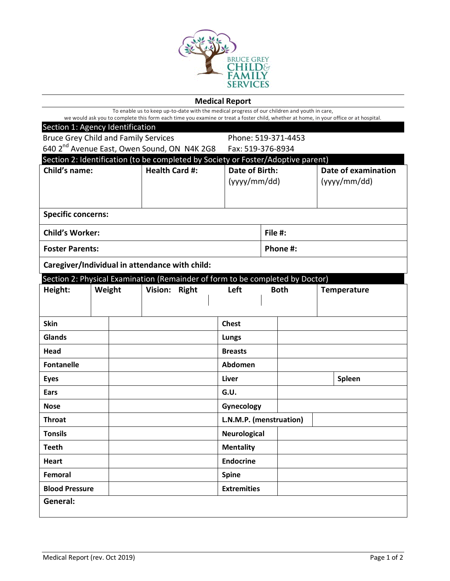

| <b>Medical Report</b>                                                                                                                                                                                                                 |  |  |                         |  |                         |                               |             |  |                    |                                    |  |
|---------------------------------------------------------------------------------------------------------------------------------------------------------------------------------------------------------------------------------------|--|--|-------------------------|--|-------------------------|-------------------------------|-------------|--|--------------------|------------------------------------|--|
| To enable us to keep up-to-date with the medical progress of our children and youth in care,<br>we would ask you to complete this form each time you examine or treat a foster child, whether at home, in your office or at hospital. |  |  |                         |  |                         |                               |             |  |                    |                                    |  |
| Section 1: Agency Identification                                                                                                                                                                                                      |  |  |                         |  |                         |                               |             |  |                    |                                    |  |
| <b>Bruce Grey Child and Family Services</b>                                                                                                                                                                                           |  |  |                         |  |                         | Phone: 519-371-4453           |             |  |                    |                                    |  |
| 640 2 <sup>nd</sup> Avenue East, Owen Sound, ON N4K 2G8                                                                                                                                                                               |  |  |                         |  |                         | Fax: 519-376-8934             |             |  |                    |                                    |  |
| Section 2: Identification (to be completed by Society or Foster/Adoptive parent)                                                                                                                                                      |  |  |                         |  |                         |                               |             |  |                    |                                    |  |
| Child's name:                                                                                                                                                                                                                         |  |  | <b>Health Card #:</b>   |  |                         | Date of Birth:<br>(yyy/mm/dd) |             |  |                    | Date of examination<br>(yyy/mm/dd) |  |
|                                                                                                                                                                                                                                       |  |  |                         |  |                         |                               |             |  |                    |                                    |  |
|                                                                                                                                                                                                                                       |  |  |                         |  |                         |                               |             |  |                    |                                    |  |
| <b>Specific concerns:</b>                                                                                                                                                                                                             |  |  |                         |  |                         |                               |             |  |                    |                                    |  |
| <b>Child's Worker:</b>                                                                                                                                                                                                                |  |  |                         |  |                         | File #:                       |             |  |                    |                                    |  |
| <b>Foster Parents:</b>                                                                                                                                                                                                                |  |  |                         |  |                         | Phone #:                      |             |  |                    |                                    |  |
| Caregiver/Individual in attendance with child:                                                                                                                                                                                        |  |  |                         |  |                         |                               |             |  |                    |                                    |  |
| Section 2: Physical Examination (Remainder of form to be completed by Doctor)                                                                                                                                                         |  |  |                         |  |                         |                               |             |  |                    |                                    |  |
| Height:<br>Weight                                                                                                                                                                                                                     |  |  | Vision:<br><b>Right</b> |  |                         | Left                          | <b>Both</b> |  | <b>Temperature</b> |                                    |  |
|                                                                                                                                                                                                                                       |  |  |                         |  |                         |                               |             |  |                    |                                    |  |
| <b>Skin</b>                                                                                                                                                                                                                           |  |  |                         |  |                         | <b>Chest</b>                  |             |  |                    |                                    |  |
| Glands                                                                                                                                                                                                                                |  |  |                         |  |                         | Lungs                         |             |  |                    |                                    |  |
| Head                                                                                                                                                                                                                                  |  |  |                         |  |                         | <b>Breasts</b>                |             |  |                    |                                    |  |
| <b>Fontanelle</b>                                                                                                                                                                                                                     |  |  |                         |  | Abdomen                 |                               |             |  |                    |                                    |  |
| <b>Eyes</b>                                                                                                                                                                                                                           |  |  |                         |  | Liver                   |                               |             |  | Spleen             |                                    |  |
| Ears                                                                                                                                                                                                                                  |  |  |                         |  |                         | G.U.                          |             |  |                    |                                    |  |
| <b>Nose</b>                                                                                                                                                                                                                           |  |  |                         |  |                         | Gynecology                    |             |  |                    |                                    |  |
| <b>Throat</b>                                                                                                                                                                                                                         |  |  |                         |  | L.N.M.P. (menstruation) |                               |             |  |                    |                                    |  |
| <b>Tonsils</b>                                                                                                                                                                                                                        |  |  |                         |  |                         | <b>Neurological</b>           |             |  |                    |                                    |  |
| <b>Teeth</b>                                                                                                                                                                                                                          |  |  |                         |  | <b>Mentality</b>        |                               |             |  |                    |                                    |  |
| <b>Heart</b>                                                                                                                                                                                                                          |  |  |                         |  |                         | <b>Endocrine</b>              |             |  |                    |                                    |  |
| Femoral                                                                                                                                                                                                                               |  |  |                         |  |                         | <b>Spine</b>                  |             |  |                    |                                    |  |
| <b>Blood Pressure</b>                                                                                                                                                                                                                 |  |  |                         |  | <b>Extremities</b>      |                               |             |  |                    |                                    |  |
| General:                                                                                                                                                                                                                              |  |  |                         |  |                         |                               |             |  |                    |                                    |  |